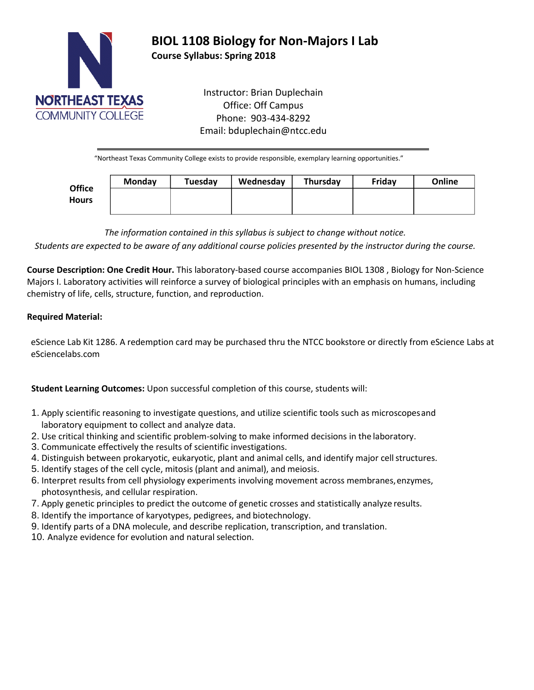

# **BIOL 1108 Biology for Non-Majors I Lab**

**Course Syllabus: Spring 2018**

Instructor: Brian Duplechain Office: Off Campus Phone: 903-434-8292 Email: bduplechain@ntcc.edu

"Northeast Texas Community College exists to provide responsible, exemplary learning opportunities."

| <b>Office</b><br><b>Hours</b> | <b>Monday</b> | Tuesday | Wednesday | Thursday | Fridav | Online |
|-------------------------------|---------------|---------|-----------|----------|--------|--------|
|                               |               |         |           |          |        |        |
|                               |               |         |           |          |        |        |

*The information contained in this syllabus is subject to change without notice.*

*Students are expected to be aware of any additional course policies presented by the instructor during the course.*

**Course Description: One Credit Hour.** This laboratory-based course accompanies [BIOL 1308 ,](http://catalog.ntcc.edu/content.php?catoid=6&catoid=6&navoid=894&filter%5Bitem_type%5D=3&filter%5Bonly_active%5D=1&filter%5B3%5D=1&filter%5Bcpage%5D=2&tt7664) Biology for Non-Science Majors I. Laboratory activities will reinforce a survey of biological principles with an emphasis on humans, including chemistry of life, cells, structure, function, and reproduction.

# **Required Material:**

eScience Lab Kit 1286. A redemption card may be purchased thru the NTCC bookstore or directly from eScience Labs at eSciencelabs.com

**Student Learning Outcomes:** Upon successful completion of this course, students will:

- 1. Apply scientific reasoning to investigate questions, and utilize scientific tools such as microscopesand laboratory equipment to collect and analyze data.
- 2. Use critical thinking and scientific problem-solving to make informed decisions in the laboratory.
- 3. Communicate effectively the results of scientific investigations.
- 4. Distinguish between prokaryotic, eukaryotic, plant and animal cells, and identify major cellstructures.
- 5. Identify stages of the cell cycle, mitosis (plant and animal), and meiosis.
- 6. Interpret results from cell physiology experiments involving movement across membranes,enzymes, photosynthesis, and cellular respiration.
- 7. Apply genetic principles to predict the outcome of genetic crosses and statistically analyze results.
- 8. Identify the importance of karyotypes, pedigrees, and biotechnology.
- 9. Identify parts of a DNA molecule, and describe replication, transcription, and translation.
- 10. Analyze evidence for evolution and natural selection.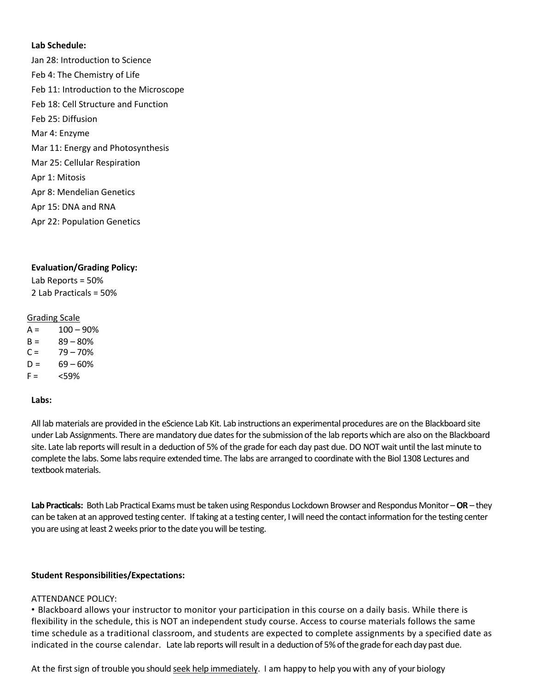## **Lab Schedule:**

Jan 28: Introduction to Science Feb 4: The Chemistry of Life Feb 11: Introduction to the Microscope Feb 18: Cell Structure and Function Feb 25: Diffusion Mar 4: Enzyme Mar 11: Energy and Photosynthesis Mar 25: Cellular Respiration Apr 1: Mitosis Apr 8: Mendelian Genetics Apr 15: DNA and RNA Apr 22: Population Genetics

# **Evaluation/Grading Policy:**

Lab Reports = 50% 2 Lab Practicals = 50%

## Grading Scale

 $A = 100 - 90%$  $B = 89 - 80%$  $C = 79 - 70\%$  $D = 69 - 60\%$  $F = \frac{-59\%}{20}$ 

## **Labs:**

All lab materials are provided in the eScience Lab Kit. Lab instructions an experimental procedures are on the Blackboard site under Lab Assignments. There are mandatory due dates for the submission of the lab reports which are also on the Blackboard site. Late lab reports will result in a deduction of 5% of the grade for each day past due. DO NOT wait until the last minute to complete the labs. Some labs require extended time. The labs are arranged to coordinate with the Biol 1308 Lectures and textbook materials.

**Lab Practicals:** Both Lab Practical Exams must be taken using Respondus Lockdown Browser and Respondus Monitor –**OR** – they can be taken at an approved testing center. If taking at a testing center, I will need the contact information for the testing center you are using at least 2 weeks prior to the date you will be testing.

## **Student Responsibilities/Expectations:**

## ATTENDANCE POLICY:

• Blackboard allows your instructor to monitor your participation in this course on a daily basis. While there is flexibility in the schedule, this is NOT an independent study course. Access to course materials follows the same time schedule as a traditional classroom, and students are expected to complete assignments by a specified date as indicated in the course calendar. Late lab reports will result in a deduction of 5% of the grade for each day past due.

At the first sign of trouble you should seek help immediately. I am happy to help you with any of your biology